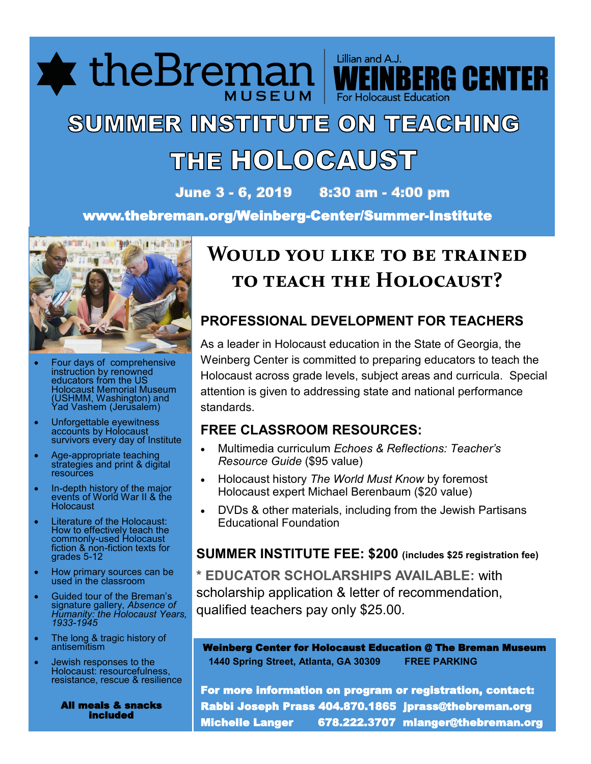**\*** theBremai

# SUMMER INSTITUTE ON TEACHING THE HOLOCAUST

June 3 - 6, 2019 8:30 am - 4:00 pm

www.thebreman.org/Weinberg-Center/Summer-Institute



- Four days of comprehensive instruction by renowned educators from the US Holocaust Memorial Museum (USHMM, Washington) and Yad Vashem (Jerusalem)
- Unforgettable eyewitness accounts by Holocaust survivors every day of Institute
- Age-appropriate teaching strategies and print & digital **resources**
- In-depth history of the major events of World War II & the Holocaust
- Literature of the Holocaust: How to effectively teach the commonly-used Holocaust fiction & non-fiction texts for grades 5-12
- How primary sources can be used in the classroom
- Guided tour of the Breman's signature gallery, *Absence of Humanity: the Holocaust Years, 1933-1945*
- The long & tragic history of antisemitism
- Jewish responses to the Holocaust: resourcefulness, resistance, rescue & resilience

 All meals & snacks included

## **Would you like to be trained to teach the Holocaust?**

Lillian and A.J.

For Holocaust Educatio

**BERG CENTER** 

### **PROFESSIONAL DEVELOPMENT FOR TEACHERS**

As a leader in Holocaust education in the State of Georgia, the Weinberg Center is committed to preparing educators to teach the Holocaust across grade levels, subject areas and curricula. Special attention is given to addressing state and national performance standards.

### **FREE CLASSROOM RESOURCES:**

- Multimedia curriculum *Echoes & Reflections: Teacher's Resource Guide* (\$95 value)
- Holocaust history *The World Must Know* by foremost Holocaust expert Michael Berenbaum (\$20 value)
- DVDs & other materials, including from the Jewish Partisans Educational Foundation

### **SUMMER INSTITUTE FEE: \$200 (includes \$25 registration fee)**

**\* EDUCATOR SCHOLARSHIPS AVAILABLE:** with scholarship application & letter of recommendation, qualified teachers pay only \$25.00.

Weinberg Center for Holocaust Education @ The Breman Museum  **1440 Spring Street, Atlanta, GA 30309 FREE PARKING**

For more information on program or registration, contact: Rabbi Joseph Prass 404.870.1865 jprass@thebreman.org Michelle Langer 678.222.3707 mlanger@thebreman.org